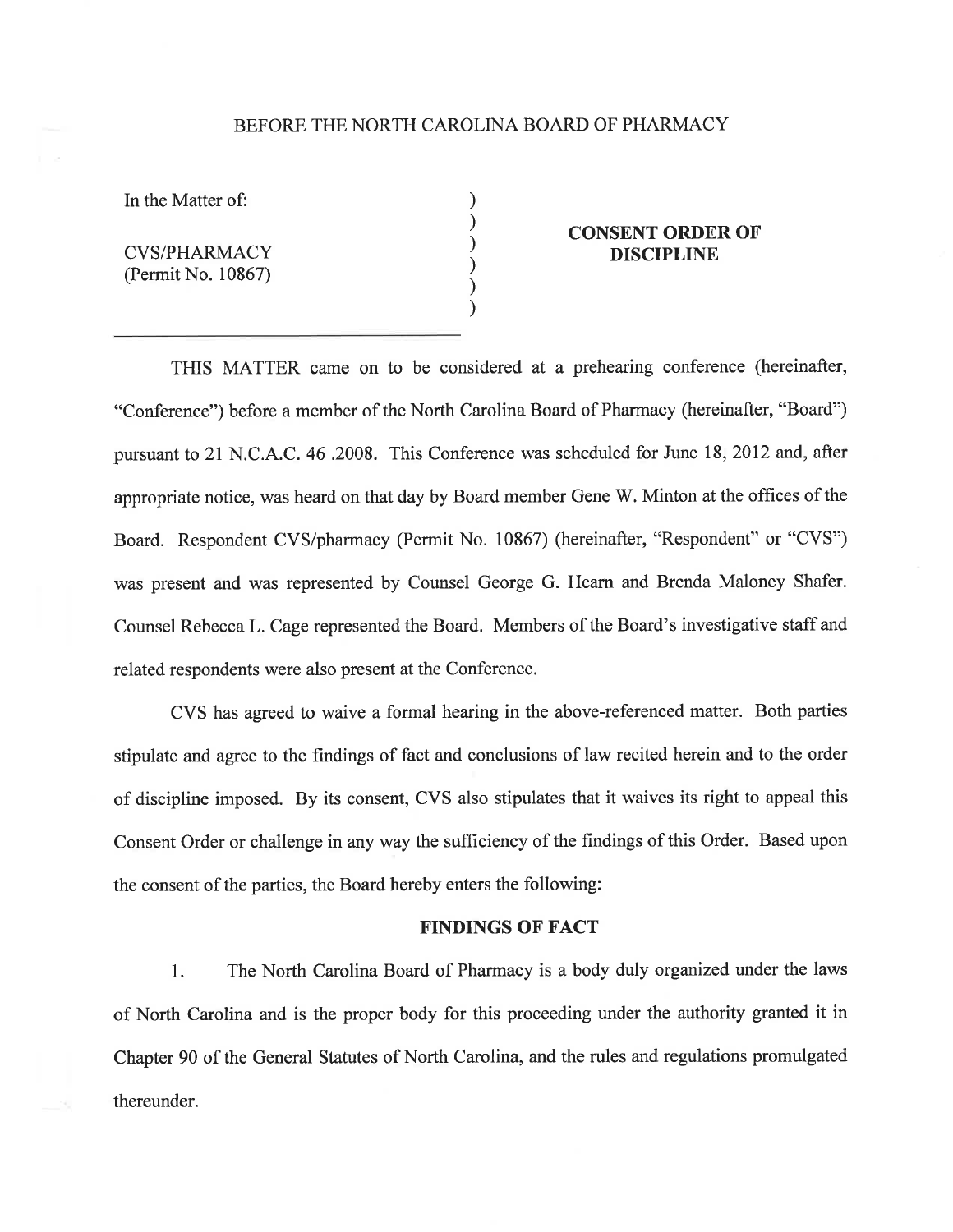#### BEFORE THE NORTH CAROLINA BOARD OF PHARMACY

) ) ) ) ) )

In the Matter of:

CVS/PHARMACY (Permit No. 10867)

## CONSENT ORDER OF DISCIPLINE

THIS MATTER came on to be considered at a prehearing conference (hereinafter, "Conference") before a member of the North Carolina Board of Pharmacy (hereinafter, "Board") pursuant to 21 N.C. A.C. 46.2008. This Conference was scheduled for June 18, 2012 and, after appropriate notice, was heard on that day by Board member Gene W. Minton at the offtces of the Board. Respondent CVS/pharmacy (Permit No. 10867) (hereinafter, "Respondent" or "CVS") was present and was represented by Counsel George G. Hearn and Brenda Maloney Shafer. Counsel Rebecca L. Cage represented the Board. Members of the Board's investigative staff and related respondents were also present at the Conference.

CVS has agreed to waive a formal hearing in the above-referenced matter. Both parties stipulate and agree to the findings of fact and conclusions of law recited herein and to the order of discipline imposed. By its consent, CVS also stipulates that it waives its right to appeal this Consent Order or challenge in any way the sufficiency of the findings of this Order. Based upon the consent of the parties, the Board hereby enters the following:

### FINDINGS OF FACT

1. The North Carolina Board of Pharmacy is a body duly organized under the laws of North Carolina and is the proper body for this proceeding under the authority granted it in Chapter 90 of the General Statutes of North Carolina, and the rules and regulations promulgated thereunder.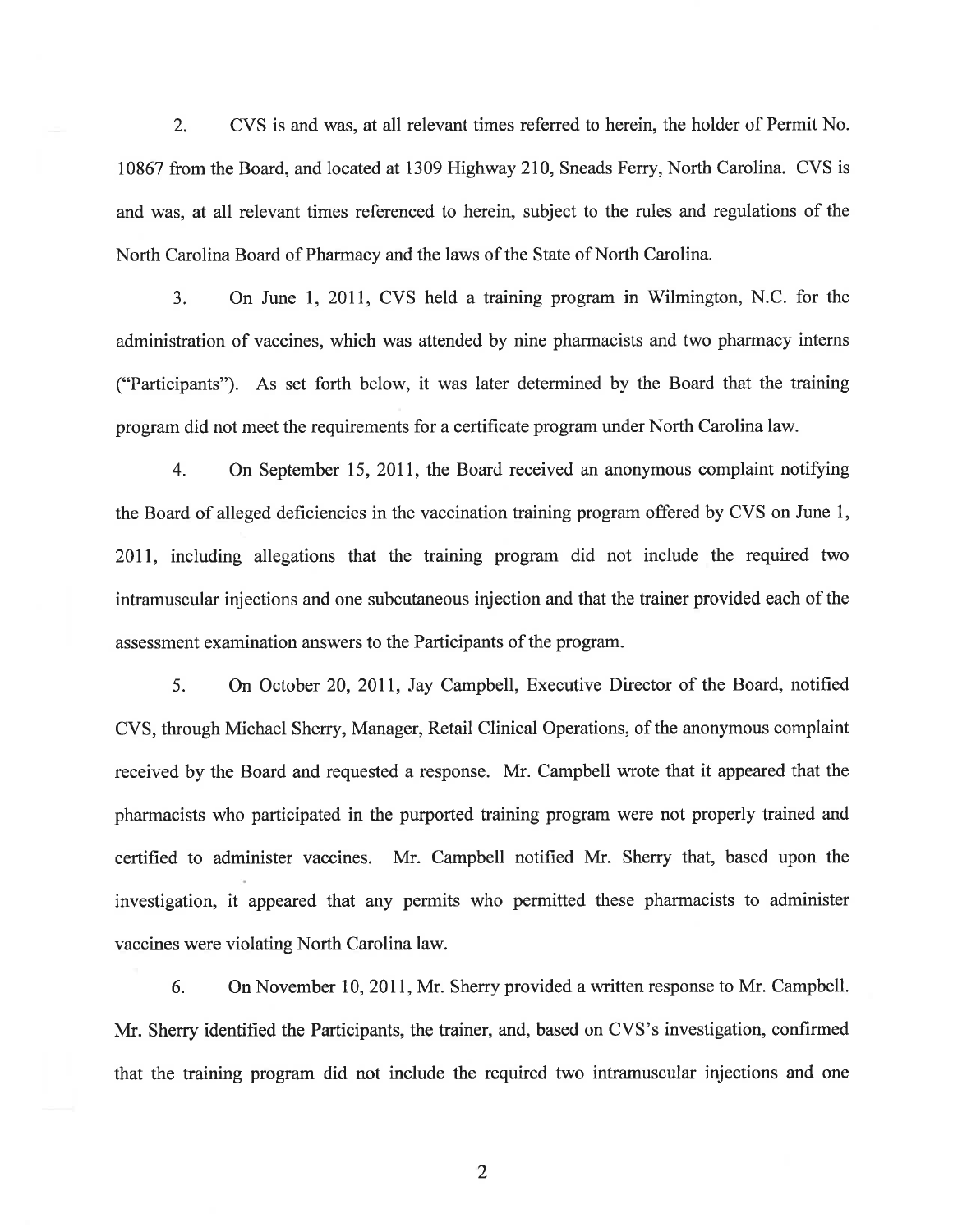2. CVS is and was, at all relevant times referred to herein, the holder of Permit No. 10861 from the Board, and located at 1309 Highway 210, Sneads Ferry, North Carolina. CVS is and was, at all relevant times referenced to herein, subject to the rules and regulations of the North Carolina Board of Pharmacy and the laws of the State of North Carolina.

3. On June l, 2011, CVS held a training program in Wilmington, N.C. for the administration of vaccines, which was attended by nine pharmacists and two pharmacy interns ("Participants"). As set forth below, it was later determined by the Board that the training program did not meet the requirements for a certificate program under North Carolina law.

4. On September 15, 2011, the Board received an anonymous complaint notifying the Board of alleged deficiencies in the vaccination training program offered by CVS on June I, 2011, including allegations that the training program did not include the required two intramuscular injections and one subcutaneous injection and that the trainer provided each of the assessment examination answers to the Participants of the program.

5. On October 20, 201I, Jay Campbell, Executive Director of the Board, notified CVS, through Michael Sherry, Manager, Retail Clinical Operations, of the anonymous complaint received by the Board and requested a response. Mr. Campbell wrote that it appeared that the pharmacists who participated in the purported training program were not properly trained and certified to administer vaccines. Mr. Campbell notified Mr. Sherry that, based upon the investigation, it appeared that any permits who permitted these pharmacists to administer vaccines were violating North Carolina law.

6. On November 10, 2011, Mr. Sherry provided a written response to Mr. Campbell. Mr. Sherry identified the Participants, the trainer, and, based on CVS's investigation, confirmed that the training program did not include the required two intramuscular injections and one

2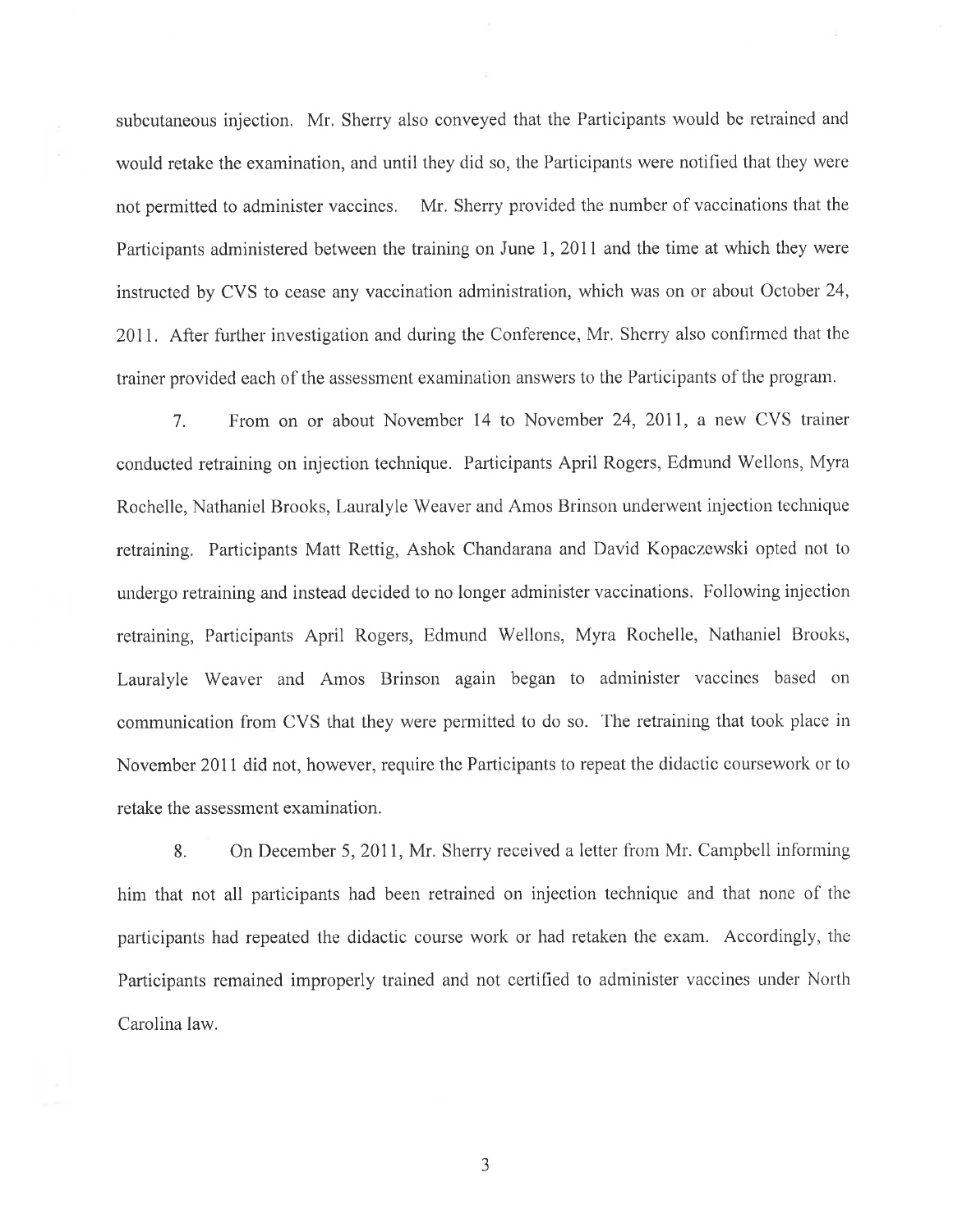subcutaneous injection. Mr. Sherry also conveyed that the Participants would be retrained and would retake the examination, and until they did so, the Participants were notified that they were not permitted to administer vaccines. Mr. Sherry provided the number of vaccinations that the Participants administered between the training on June 1, 2011 and the time at which they were instructed by CVS to cease any vaccination administration, which was on or about October 24, 2011. After further investigation and during the Conference, Mr. Sherry also confirmed that the trainer provided each of the assessment examination answers to the Parlicipants of the program.

7. From on or about November 14 to November 24,2011, a new CVS trainer conducted retraining on injection technique. Participants April Rogers, Edmund'Wellons, Myra Rochelle, Nathaniel Brooks, Lauralyle Weaver and Amos Brinson underwent injection technique retraining. Participants Matt Rettig, Ashok Chandarana and David Kopaczewski opted not to undergo retraining and instead decided to no longer administer vaccinations. Following injection retraining, Participants April Rogers, Edrnund Wellons, Myra Rochelle, Nathaniel Brooks, Lauralyle Weaver and Amos Brinson again began to administer vaccines based on communication from CVS that they were permitted to do so. The retraining that took place in November 2011 did not, however, require the Participants to repeat the didactic coursework or to retake the assessment examination.

8. On December 5, 2011, Mr. Sherry received a letter from Mr. Campbell informing him that not all participants had been retrained on injection technique and that none of the participants had repeated the didactic course work or had retaken the exam. Accordingly, the Participants remained improperly trained and not certified to administer vaccines under North Carolina law.

J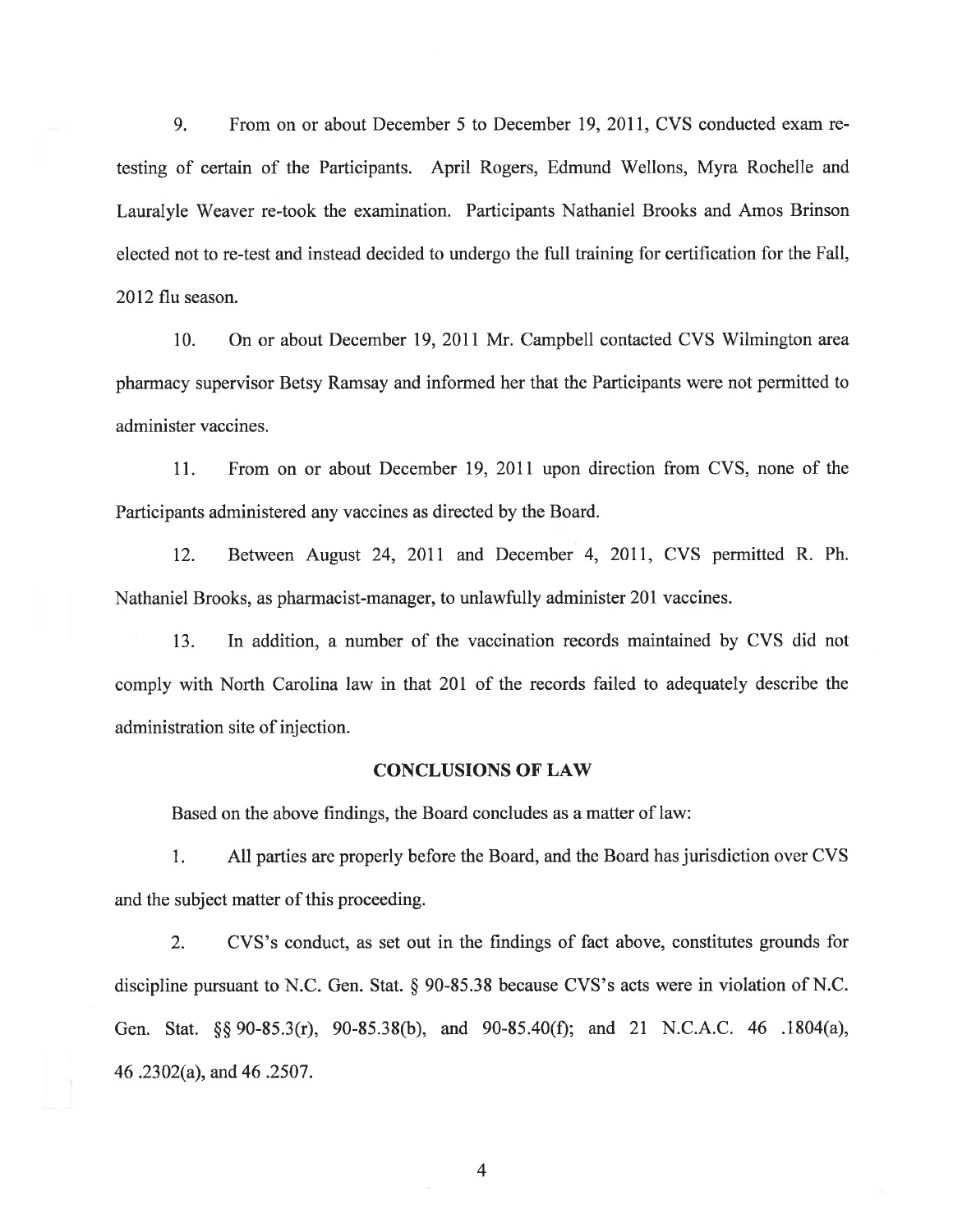9. From on or about December 5 to December 19, 2011, CVS conducted exam retesting of certain of the Participants. April Rogers, Edmund Wellons, Myra Rochelle and Lauralyle Weaver re-took the examination. Participants Nathaniel Brooks and Amos Brinson elected not to re-test and instead decided to undergo the full training for certification for the Fall, 2012 flu season.

10. On or about December 19,2011 Mr. Campbell contacted CVS Wilmington area pharmacy supervisor Betsy Ramsay and informed her that the Participants were not permitted to administer vaccines.

11. From on or about December 19,2011 upon direction from CVS, none of the Participants administered any vaccines as directed by the Board.

12. Between August 24, 2011 and December 4, 2011, CVS permitted R. Ph. Nathaniel Brooks, as pharmacist-manager, to unlawfully administer 201 vaccines.

13. In addition, a number of the vaccination records maintained by CVS did not comply with North Carolina law in that 20I of the records failed to adequately describe the administration site of injection.

#### **CONCLUSIONS OF LAW**

Based on the above findings, the Board concludes as a matter of law:

l. All parties are properly before the Board, and the Board has jurisdiction over CVS and the subject matter of this proceeding.

2. CVS's conduct, as set out in the findings of fact above, constitutes grounds for discipline pursuant to N.C. Gen. Stat. \$ 90-85.38 because CVS's acts were in violation of N.C. Gen. Stat. \$\$ 90-85.3(r), 90-85.38(b), and 90-85.40(Ð; and 2l N.C.A.C. 46 .1804(a), 46 .2302(a), and 46 .2507 .

4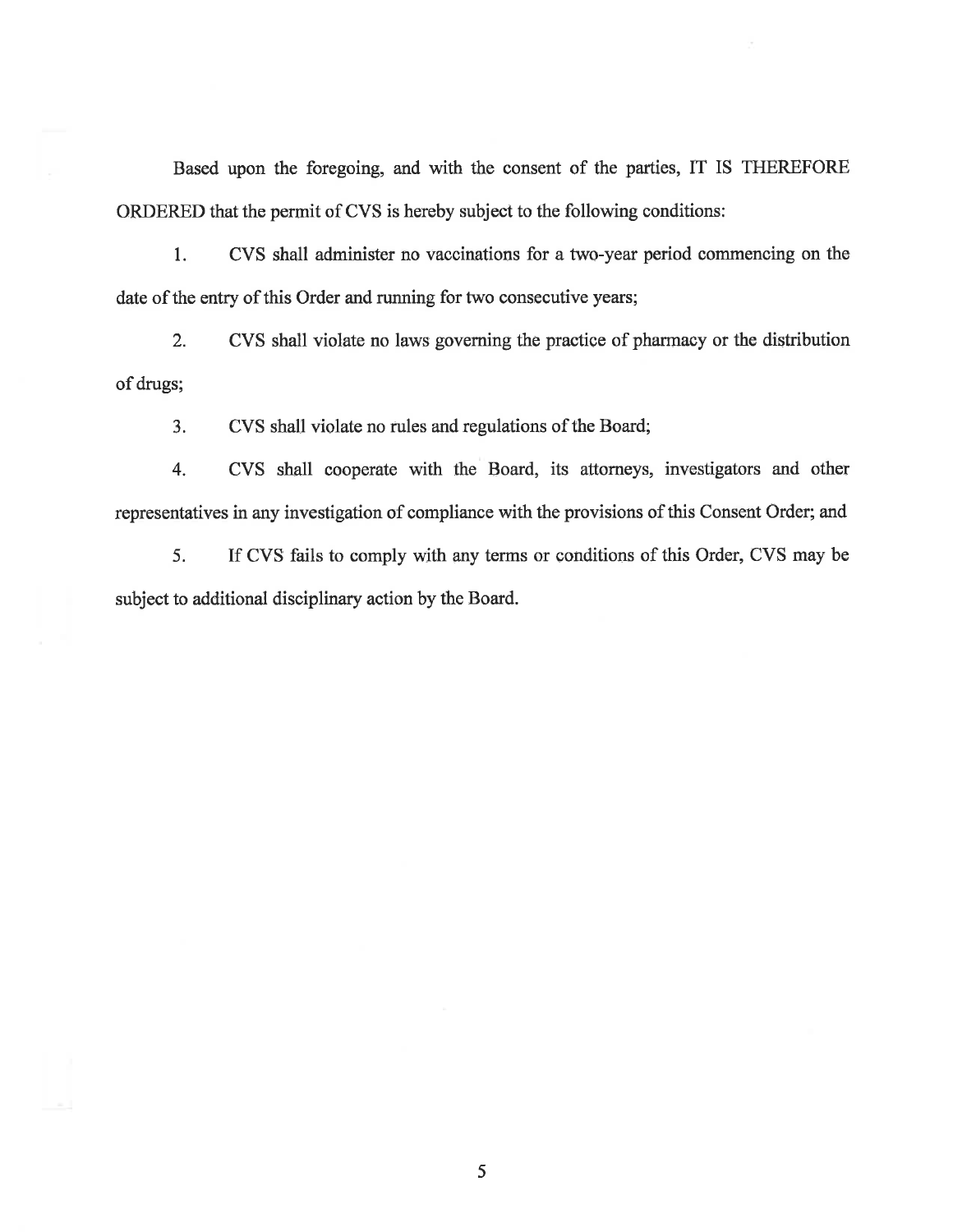Based upon the foregoing, and with the consent of the parties, fT IS THEREFORE ORDERED that the permit of CVS is hereby subject to the following conditions:

1. CVS shall administer no vaccinations for a two-year period commencing on the date of the entry of this Order and running for two consecutive years;

2. CVS shall violate no laws governing the practice of pharmacy or the distribution of drugs;

3. CVS shall violate no rules and regulations of the Board;

4. CVS shall cooperate with the Board, its attomeys, investigators and other representatives in any investigation of compliance with the provisions of this Consent Order; and

5. If CVS fails to comply with any terms or conditions of this Order, CVS may be subject to additional disciplinary action by the Board.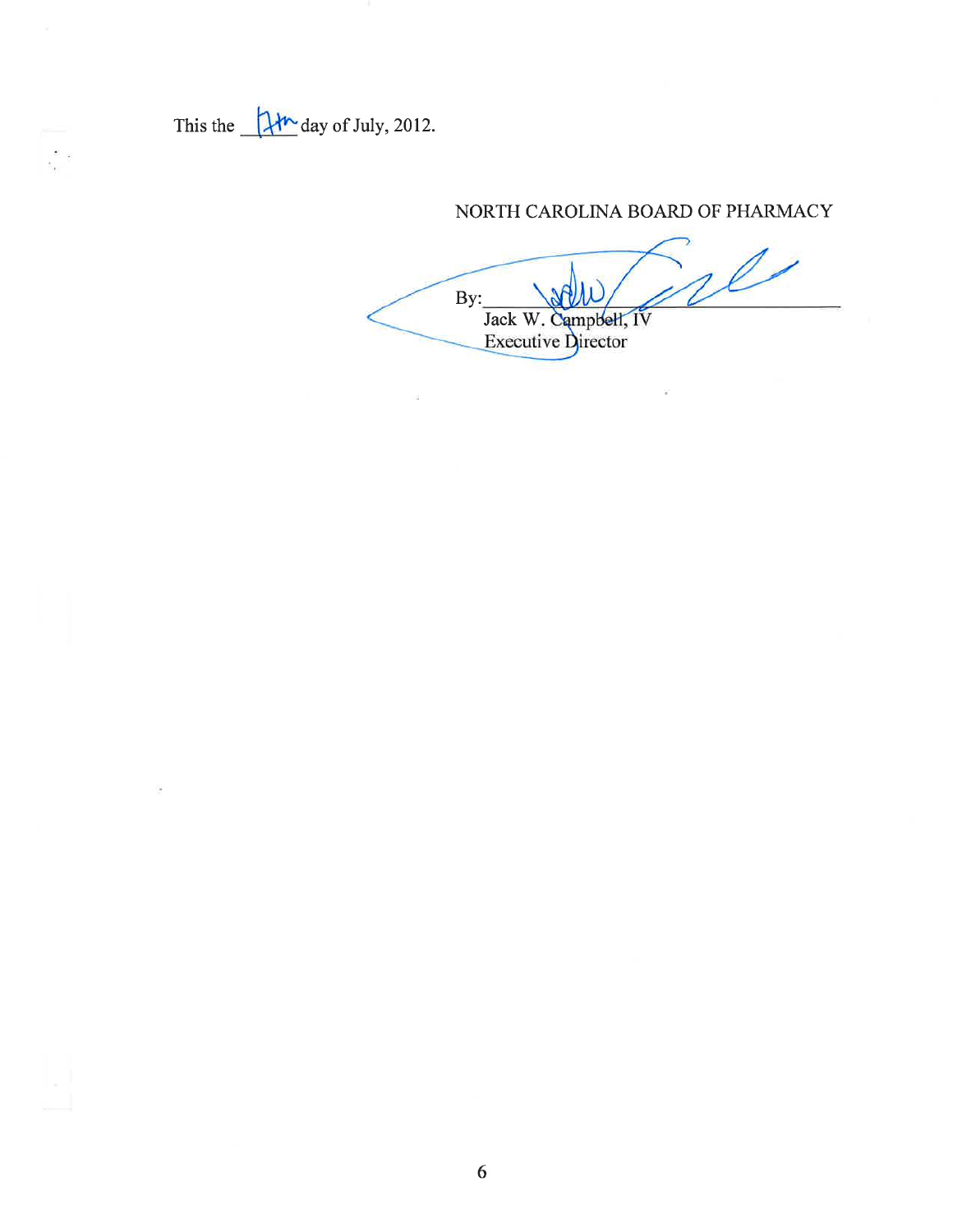This the  $\frac{1+h}{h}$  day of July, 2012.

 $\bullet$  $\overline{\mathcal{O}}$ s.

# NORTH CAROLINA BOARD OF PHARMACY

 $\ell$ By: Jack W. Campbell, IV<br>Executive Director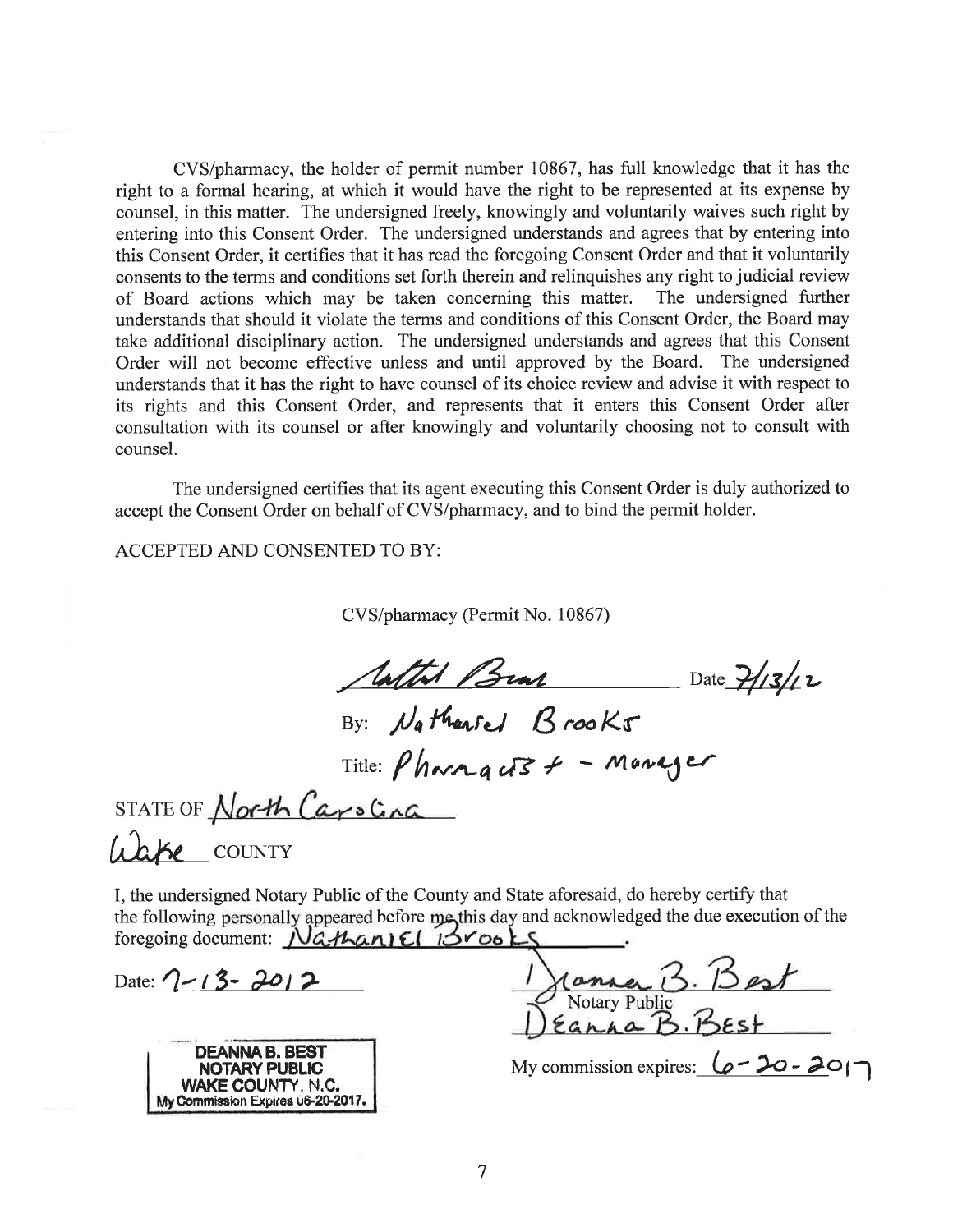CVS/pharmacy, the holder of permit number 10867, has full knowledge that it has the right to a formal hearing, at which it would have the right to be represented at its expense by counsel, in this matter. The undersigned freely, knowingly and voluntarily waives such right by entering into this Consent Order. The undersigned understands and agrees that by entering into this Consent Order, it certifies that it has read the foregoing Consent Order and that it voluntarily consents to the terms and conditions set forth therein and relinquishes any right to judicial review of Board actions which may be taken concerning this matter. The undersigned further understands that should it violate the terms and conditions of this Consent Order, the Board may take additional disciplinary action. The undersigned understands and agrees that this Consent Order will not become effective unless and until approved by the Board. The undersigned understands that it has the right to have counsel of its choice review and advise it with respect to its rights and this Consent Order, and represents that it enters this Consent Order after consultation with its counsel or after knowingly and voluntarily choosing not to consult with counsel.

The undersigned certifies that its agent executing this Consent Order is duly authorized to accept the Consent Order on behalf of CVS/pharmacy, and to bind the permit holder.

**ACCEPTED AND CONSENTED TO BY:** 

CVS/pharmacy (Permit No. 10867)

Aatth Bran Date 7/13/12

By: Nathanted Brooks

STATE OF North Carolina

Liake COUNTY

I, the undersigned Notary Public of the County and State aforesaid, do hereby certify that the following personally appeared before me this day and acknowledged the due execution of the foregoing document: Nathaniel 13rooks

Date:  $7 - 13 - 2012$ 



Notary Public

My commission expires:  $\omega - 20 - 20$